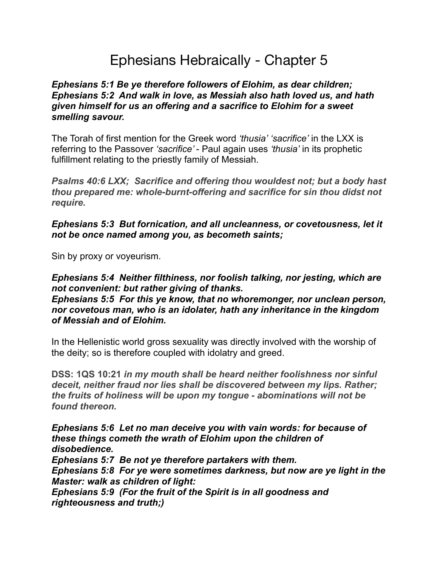# Ephesians Hebraically - Chapter 5

#### *Ephesians 5:1 Be ye therefore followers of Elohim, as dear children; Ephesians 5:2 And walk in love, as Messiah also hath loved us, and hath given himself for us an offering and a sacrifice to Elohim for a sweet smelling savour.*

The Torah of first mention for the Greek word *'thusia' 'sacrifice'* in the LXX is referring to the Passover *'sacrifice'* - Paul again uses *'thusia'* in its prophetic fulfillment relating to the priestly family of Messiah.

*Psalms 40:6 LXX; Sacrifice and offering thou wouldest not; but a body hast thou prepared me: whole-burnt-offering and sacrifice for sin thou didst not require.*

*Ephesians 5:3 But fornication, and all uncleanness, or covetousness, let it not be once named among you, as becometh saints;* 

Sin by proxy or voyeurism.

*Ephesians 5:4 Neither filthiness, nor foolish talking, nor jesting, which are not convenient: but rather giving of thanks. Ephesians 5:5 For this ye know, that no whoremonger, nor unclean person, nor covetous man, who is an idolater, hath any inheritance in the kingdom of Messiah and of Elohim.*

In the Hellenistic world gross sexuality was directly involved with the worship of the deity; so is therefore coupled with idolatry and greed.

**DSS: 1QS 10:21** *in my mouth shall be heard neither foolishness nor sinful deceit, neither fraud nor lies shall be discovered between my lips. Rather; the fruits of holiness will be upon my tongue - abominations will not be found thereon.* 

*Ephesians 5:6 Let no man deceive you with vain words: for because of these things cometh the wrath of Elohim upon the children of disobedience.* 

*Ephesians 5:7 Be not ye therefore partakers with them. Ephesians 5:8 For ye were sometimes darkness, but now are ye light in the Master: walk as children of light: Ephesians 5:9 (For the fruit of the Spirit is in all goodness and* 

*righteousness and truth;)*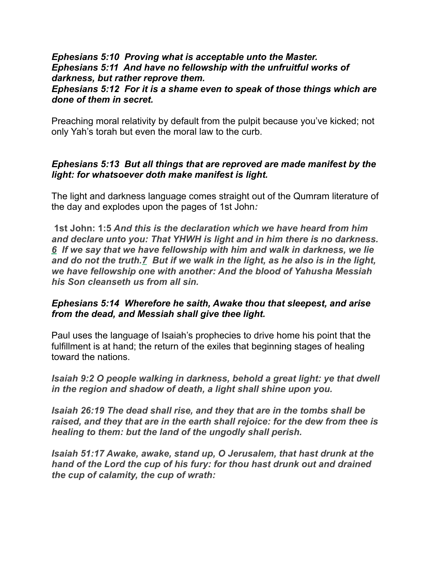#### *Ephesians 5:10 Proving what is acceptable unto the Master. Ephesians 5:11 And have no fellowship with the unfruitful works of darkness, but rather reprove them.*

*Ephesians 5:12 For it is a shame even to speak of those things which are done of them in secret.*

Preaching moral relativity by default from the pulpit because you've kicked; not only Yah's torah but even the moral law to the curb.

#### *Ephesians 5:13 But all things that are reproved are made manifest by the light: for whatsoever doth make manifest is light.*

The light and darkness language comes straight out of the Qumram literature of the day and explodes upon the pages of 1st John*:* 

 **1st John: 1:5** *And this is the declaration which we have heard from him and declare unto you: That YHWH is light and in him there is no darkness. 6 If we say that we have fellowship with him and walk in darkness, we lie and do not the truth.7 But if we walk in the light, as he also is in the light, we have fellowship one with another: And the blood of Yahusha Messiah his Son cleanseth us from all sin.* 

#### *Ephesians 5:14 Wherefore he saith, Awake thou that sleepest, and arise from the dead, and Messiah shall give thee light.*

Paul uses the language of Isaiah's prophecies to drive home his point that the fulfillment is at hand; the return of the exiles that beginning stages of healing toward the nations.

*Isaiah 9:2 O people walking in darkness, behold a great light: ye that dwell in the region and shadow of death, a light shall shine upon you.*

*Isaiah 26:19 The dead shall rise, and they that are in the tombs shall be raised, and they that are in the earth shall rejoice: for the dew from thee is healing to them: but the land of the ungodly shall perish.*

*Isaiah 51:17 Awake, awake, stand up, O Jerusalem, that hast drunk at the hand of the Lord the cup of his fury: for thou hast drunk out and drained the cup of calamity, the cup of wrath:*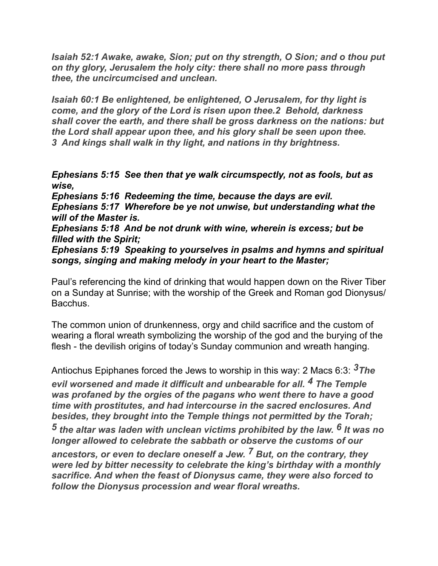*Isaiah 52:1 Awake, awake, Sion; put on thy strength, O Sion; and o thou put on thy glory, Jerusalem the holy city: there shall no more pass through thee, the uncircumcised and unclean.* 

*Isaiah 60:1 Be enlightened, be enlightened, O Jerusalem, for thy light is come, and the glory of the Lord is risen upon thee.2 Behold, darkness shall cover the earth, and there shall be gross darkness on the nations: but the Lord shall appear upon thee, and his glory shall be seen upon thee. 3 And kings shall walk in thy light, and nations in thy brightness.*

*Ephesians 5:15 See then that ye walk circumspectly, not as fools, but as wise,* 

*Ephesians 5:16 Redeeming the time, because the days are evil. Ephesians 5:17 Wherefore be ye not unwise, but understanding what the will of the Master is.*

*Ephesians 5:18 And be not drunk with wine, wherein is excess; but be filled with the Spirit;* 

*Ephesians 5:19 Speaking to yourselves in psalms and hymns and spiritual songs, singing and making melody in your heart to the Master;*

Paul's referencing the kind of drinking that would happen down on the River Tiber on a Sunday at Sunrise; with the worship of the Greek and Roman god Dionysus/ Bacchus.

The common union of drunkenness, orgy and child sacrifice and the custom of wearing a floral wreath symbolizing the worship of the god and the burying of the flesh - the devilish origins of today's Sunday communion and wreath hanging.

Antiochus Epiphanes forced the Jews to worship in this way: 2 Macs 6:3: *3The evil worsened and made it difficult and unbearable for all. 4 The Temple was profaned by the orgies of the pagans who went there to have a good time with prostitutes, and had intercourse in the sacred enclosures. And besides, they brought into the Temple things not permitted by the Torah; 5 the altar was laden with unclean victims prohibited by the law. 6 It was no longer allowed to celebrate the sabbath or observe the customs of our ancestors, or even to declare oneself a Jew. 7 But, on the contrary, they were led by bitter necessity to celebrate the king's birthday with a monthly sacrifice. And when the feast of Dionysus came, they were also forced to follow the Dionysus procession and wear floral wreaths.*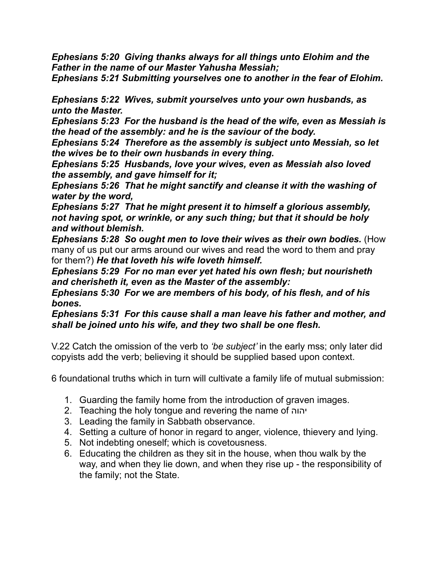*Ephesians 5:20 Giving thanks always for all things unto Elohim and the Father in the name of our Master Yahusha Messiah;* 

*Ephesians 5:21 Submitting yourselves one to another in the fear of Elohim.*

*Ephesians 5:22 Wives, submit yourselves unto your own husbands, as unto the Master.* 

*Ephesians 5:23 For the husband is the head of the wife, even as Messiah is the head of the assembly: and he is the saviour of the body.* 

*Ephesians 5:24 Therefore as the assembly is subject unto Messiah, so let the wives be to their own husbands in every thing.* 

*Ephesians 5:25 Husbands, love your wives, even as Messiah also loved the assembly, and gave himself for it;*

*Ephesians 5:26 That he might sanctify and cleanse it with the washing of water by the word,*

*Ephesians 5:27 That he might present it to himself a glorious assembly, not having spot, or wrinkle, or any such thing; but that it should be holy and without blemish.*

*Ephesians 5:28 So ought men to love their wives as their own bodies.* (How many of us put our arms around our wives and read the word to them and pray for them?) *He that loveth his wife loveth himself.*

*Ephesians 5:29 For no man ever yet hated his own flesh; but nourisheth and cherisheth it, even as the Master of the assembly:*

*Ephesians 5:30 For we are members of his body, of his flesh, and of his bones.* 

*Ephesians 5:31 For this cause shall a man leave his father and mother, and shall be joined unto his wife, and they two shall be one flesh.*

V.22 Catch the omission of the verb to *'be subject'* in the early mss; only later did copyists add the verb; believing it should be supplied based upon context.

6 foundational truths which in turn will cultivate a family life of mutual submission:

- 1. Guarding the family home from the introduction of graven images.
- 2. Teaching the holy tongue and revering the name of יהוה
- 3. Leading the family in Sabbath observance.
- 4. Setting a culture of honor in regard to anger, violence, thievery and lying.
- 5. Not indebting oneself; which is covetousness.
- 6. Educating the children as they sit in the house, when thou walk by the way, and when they lie down, and when they rise up - the responsibility of the family; not the State.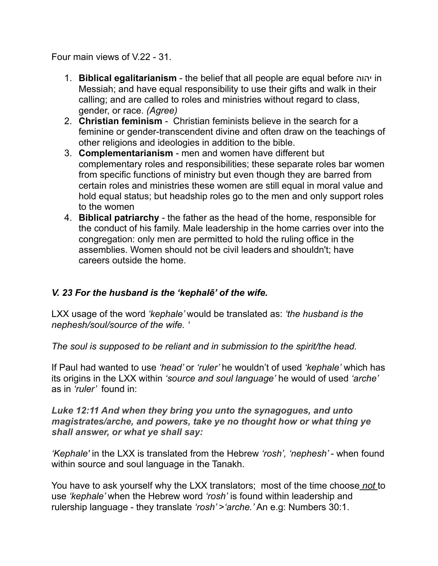Four main views of V.22 - 31.

- 1. **Biblical egalitarianism**  the belief that all people are equal before יהוה in Messiah; and have equal responsibility to use their gifts and walk in their calling; and are called to roles and ministries without regard to class, gender, or race. *(Agree)*
- 2. **Christian feminism** Christian feminists believe in the search for a feminine or gender-transcendent divine and often draw on the teachings of other religions and ideologies in addition to the bible.
- 3. **Complementarianism**  men and women have different but complementary roles and responsibilities; these separate roles bar women from specific functions of ministry but even though they are barred from certain roles and ministries these women are still equal in moral value and hold equal status; but headship roles go to the men and only support roles to the women
- 4. **Biblical patriarchy**  the father as the head of the home, responsible for the conduct of his family. Male leadership in the home carries over into the congregation: only men are permitted to hold the ruling office in the assemblies. Women should not be civil leaders and shouldn't; have careers outside the home.

## *V. 23 For the husband is the 'kephalē' of the wife.*

LXX usage of the word *'kephale'* would be translated as: *'the husband is the nephesh/soul/source of the wife. '* 

*The soul is supposed to be reliant and in submission to the spirit/the head.* 

If Paul had wanted to use *'head'* or *'ruler'* he wouldn't of used *'kephale'* which has its origins in the LXX within *'source and soul language'* he would of used *'arche'*  as in *'ruler'* found in:

*Luke 12:11 And when they bring you unto the synagogues, and unto magistrates/arche, and powers, take ye no thought how or what thing ye shall answer, or what ye shall say:*

*'Kephale'* in the LXX is translated from the Hebrew *'rosh', 'nephesh'* - when found within source and soul language in the Tanakh.

You have to ask yourself why the LXX translators; most of the time choose *not* to use *'kephale'* when the Hebrew word *'rosh'* is found within leadership and rulership language - they translate *'rosh'* >*'arche.'* An e.g: Numbers 30:1.